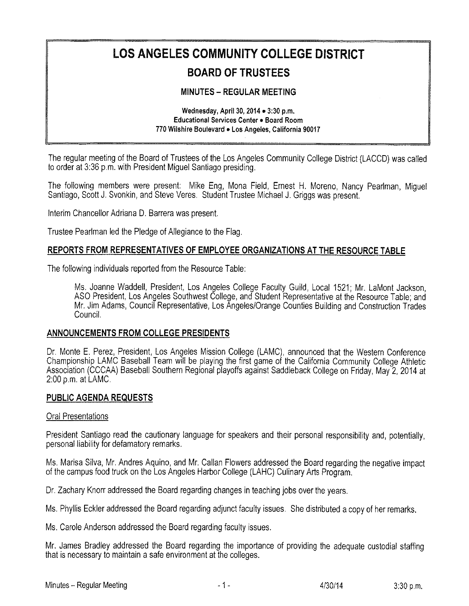# LOS ANGELES COMMUNITY COLLEGE DISTRICT BOARD OF TRUSTEES

## **MINUTES - REGULAR MEETING**

#### Wednesday, April 30, 2014  $\bullet$  3:30 p.m. Educational Services Center e Board Room 770 Wilshire Boulevard . Los Angeles, California 90017

The regular meeting of the Board of Trustees of the Los Angeles Community College District (LACCD) was called to order at 3:36 p.m. with President Miguel Santiago presiding.

The following members were present: Mike Eng, Mona Field, Ernest H. Moreno, Nancy Pearlman, Miguel Santiago, Scott J. Svonkin, and Steve Veres, Student Trustee Michael J. Griggs was present,

Interim Chancellor Adriana D. Barrera was present.

Trustee Peariman !ed the Pledge of Allegiance to the Flag,

#### REPORTS FROM REPRESENTATIVES OF EMPLOYEE ORGANIZATIONS AT THE RESOURCE TABLE

The following individuals reported from the Resource Table:

Ms. Joanne Waddell, President, Los Angeles College Faculty Guild, Local 1521; Mr. LaMont Jackson, ASO President, Los Angeles Southwest College, and Student Representative at the Resource Table; and Mr. Jim Adams, Council Representative, Los Angeies/Orange Counties Building and Construction Trades Council.

#### ANNOUNCEMENTS FROM COLLEGE PRESIDENTS

Dr. Monte E. Perez, President, Los Angeles Mission College (LAMC), announced that the Western Conference Championship LAMC Baseball Team will be playing the first game of the California Community College Athietic Association (CCCAA) Baseball Southern Regional playoffs against Saddleback College on Friday, May 2, 2014 at  $2:00$  p,m, at LAMC.

#### PUBLIC AGENDA REQUESTS

#### Oral Presentations

President Santiago read the cautionary language for speakers and their personal responsibility and, potentially, persona! liability for defamatory remarks.

Ms. Marisa Silva, Mr. Andres Aquino, and Mr. Callan Flowers addressed the Board regarding the negative impact of the campus food truck on the Los Angeles Harbor College (LAHC) Culinary Arts Program,

Dr. Zachary Knorr addressed the Board regarding changes in teaching jobs over the years.

Ms, Phyllis Eckler addressed the Board regarding adjunct faculty issues. She distributed a copy of her remarks.

Ms. Caroie Anderson addressed the Board regarding faculty issues.

Mr. James Bradley addressed the Board regarding the importance of providing the adequate custodial staffing that is necessary to maintain a safe environment at the colleges,